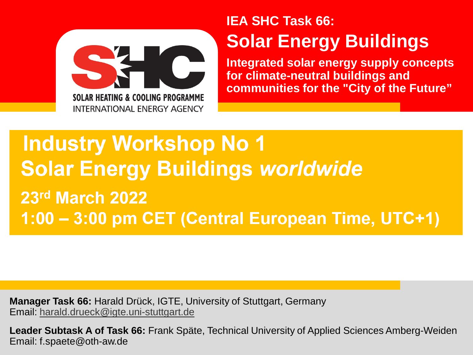

## **IEA SHC Task 66: Solar Energy Buildings**

**Integrated solar energy supply concepts for climate-neutral buildings and communities for the "City of the Future"**

## **Industry Workshop No 1 Solar Energy Buildings worldwide** 23rd March 2022 1:00 - 3:00 pm CET (Central European Time, UTC+1)

**Manager Task 66:** Harald Drück, IGTE, University of Stuttgart, Germany Email: [harald.drueck@igte.uni-stuttgart.de](mailto:harald.drueck@igte.uni-Stuttgart.de)

**Leader Subtask A of Task 66:** Frank Späte, Technical University of Applied Sciences Amberg-Weiden Email: f.spaete@oth-aw.de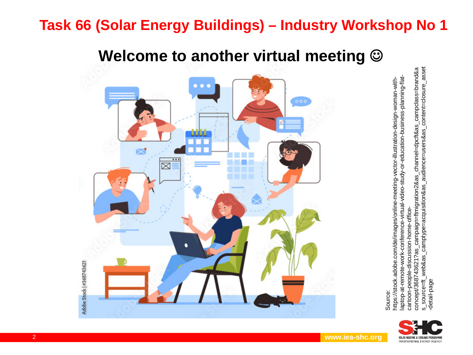#### **Welcome to another virtual meeting**



laptop-at-remote-work-conference-virtual-video-study-or-education-business-planning-flataptop-at-remote-work-conference-virtual-video-study-or-education-business-planning-flatnttps://stock.adobe.com/de/images/online-meeting-vector-illustration-design-woman-withhttps://stock.adobe.com/de/images/online-meeting-vector-illustration-design-woman-withcartoon-people-discussion-home-officecartoon-people-discussion-home-office-





Source: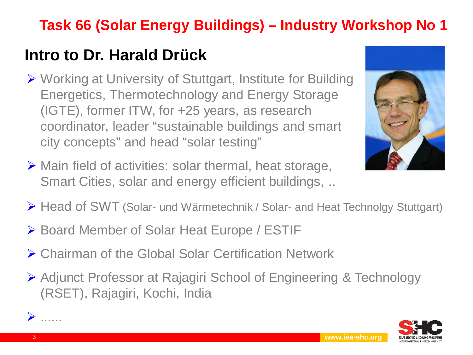## **Intro to Dr. Harald Drück**

- Working at University of Stuttgart, Institute for Building Energetics, Thermotechnology and Energy Storage (IGTE), former ITW, for +25 years, as research coordinator, leader "sustainable buildings and smart city concepts" and head "solar testing"
- $\triangleright$  Main field of activities: solar thermal, heat storage, Smart Cities, solar and energy efficient buildings, ..



- Head of SWT (Solar- und Wärmetechnik / Solar- and Heat Technolgy Stuttgart)
- ▶ Board Member of Solar Heat Europe / ESTIF
- ▶ Chairman of the Global Solar Certification Network
- Adjunct Professor at Rajagiri School of Engineering & Technology (RSET), Rajagiri, Kochi, India

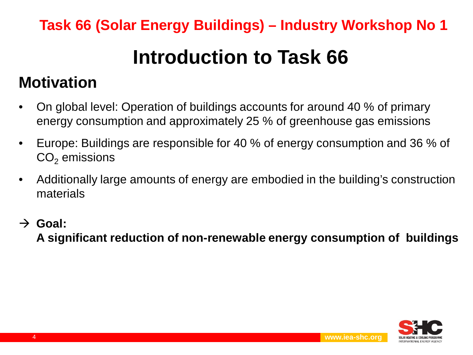## **Introduction to Task 66**

## **Motivation**

- On global level: Operation of buildings accounts for around 40 % of primary energy consumption and approximately 25 % of greenhouse gas emissions
- Europe: Buildings are responsible for 40 % of energy consumption and 36 % of  $CO<sub>2</sub>$  emissions
- Additionally large amounts of energy are embodied in the building's construction materials
- $\rightarrow$  Goal: **A significant reduction of non-renewable energy consumption of buildings**

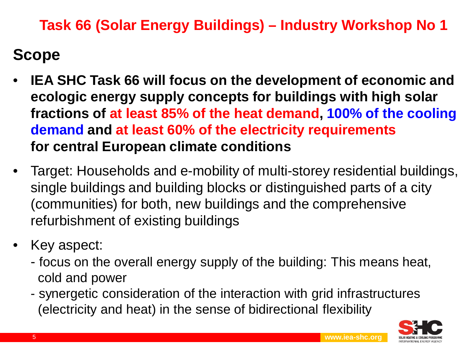## **Scope**

- **IEA SHC Task 66 will focus on the development of economic and ecologic energy supply concepts for buildings with high solar fractions of at least 85% of the heat demand, 100% of the cooling demand and at least 60% of the electricity requirements for central European climate conditions**
- Target: Households and e-mobility of multi-storey residential buildings, single buildings and building blocks or distinguished parts of a city (communities) for both, new buildings and the comprehensive refurbishment of existing buildings
- Key aspect:
	- focus on the overall energy supply of the building: This means heat, cold and power
	- synergetic consideration of the interaction with grid infrastructures (electricity and heat) in the sense of bidirectional flexibility

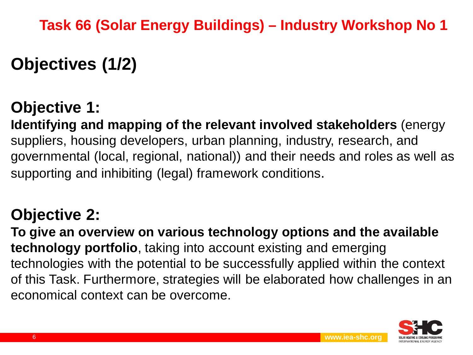## **Objectives (1/2)**

## **Objective 1:**

**Identifying and mapping of the relevant involved stakeholders** (energy suppliers, housing developers, urban planning, industry, research, and governmental (local, regional, national)) and their needs and roles as well as supporting and inhibiting (legal) framework conditions.

## **Objective 2:**

**To give an overview on various technology options and the available technology portfolio**, taking into account existing and emerging technologies with the potential to be successfully applied within the context of this Task. Furthermore, strategies will be elaborated how challenges in an economical context can be overcome.

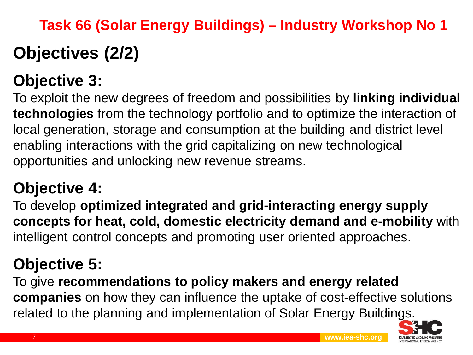# **Objectives (2/2) Task 66 (Solar Energy Buildings) – Industry Workshop No 1**

## **Objective 3:**

To exploit the new degrees of freedom and possibilities by **linking individual technologies** from the technology portfolio and to optimize the interaction of local generation, storage and consumption at the building and district level enabling interactions with the grid capitalizing on new technological opportunities and unlocking new revenue streams.

## **Objective 4:**

To develop **optimized integrated and grid-interacting energy supply concepts for heat, cold, domestic electricity demand and e-mobility** with intelligent control concepts and promoting user oriented approaches.

## **Objective 5:**

To give **recommendations to policy makers and energy related companies** on how they can influence the uptake of cost-effective solutions related to the planning and implementation of Solar Energy Buildings.

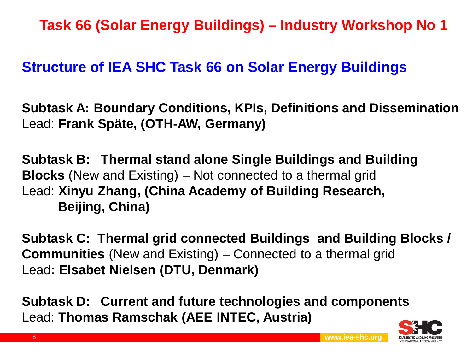#### **Structure of IEA SHC Task 66 on Solar Energy Buildings**

**Subtask A: Boundary Conditions, KPIs, Definitions and Dissemination** Lead: **Frank Späte, (OTH-AW, Germany)**

**Subtask B: Thermal stand alone Single Buildings and Building Blocks** (New and Existing) – Not connected to a thermal grid Lead: **Xinyu Zhang, (China Academy of Building Research, Beijing, China)**

**Subtask C: Thermal grid connected Buildings and Building Blocks / Communities** (New and Existing) – Connected to a thermal grid Lead**: Elsabet Nielsen (DTU, Denmark)**

**Subtask D: Current and future technologies and components** Lead: **Thomas Ramschak (AEE INTEC, Austria)**

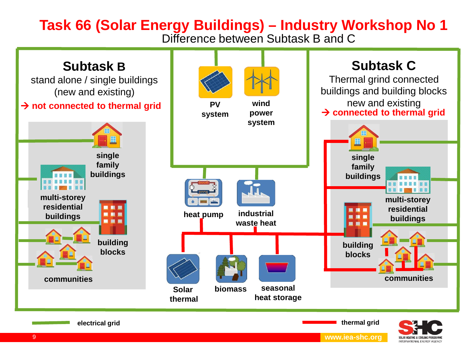Difference between Subtask B and C



NTERNATIONAL ENERGY AGENCY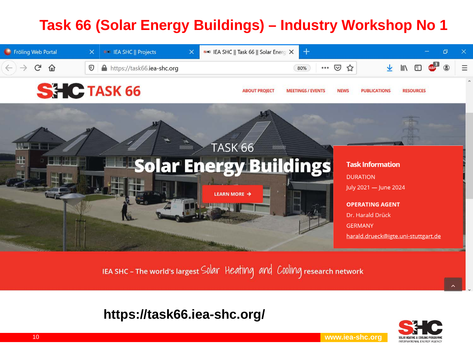

IEA SHC-The world's largest Solar Heating and Cooling research network

#### **https://task66.iea-shc.org/**



10 **www.iea-shc.org**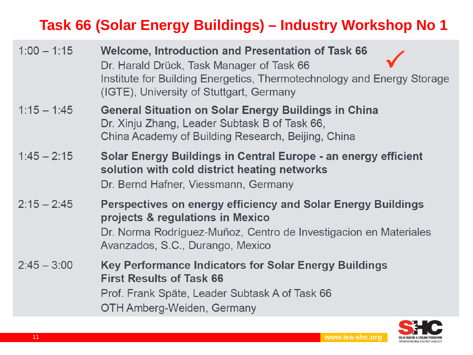| $1:00 - 1:15$ | <b>Welcome, Introduction and Presentation of Task 66</b><br>Dr. Harald Drück, Task Manager of Task 66<br>Institute for Building Energetics, Thermotechnology and Energy Storage<br>(IGTE), University of Stuttgart, Germany |
|---------------|-----------------------------------------------------------------------------------------------------------------------------------------------------------------------------------------------------------------------------|
| $1:15 - 1:45$ | <b>General Situation on Solar Energy Buildings in China</b><br>Dr. Xinju Zhang, Leader Subtask B of Task 66,<br>China Academy of Building Research, Beijing, China                                                          |
| $1:45 - 2:15$ | Solar Energy Buildings in Central Europe - an energy efficient<br>solution with cold district heating networks<br>Dr. Bernd Hafner, Viessmann, Germany                                                                      |
| $2:15 - 2:45$ | <b>Perspectives on energy efficiency and Solar Energy Buildings</b><br>projects & regulations in Mexico<br>Dr. Norma Rodríguez-Muñoz, Centro de Investigacion en Materiales<br>Avanzados, S.C., Durango, Mexico             |
| $2:45 - 3:00$ | <b>Key Performance Indicators for Solar Energy Buildings</b><br><b>First Results of Task 66</b><br>Prof. Frank Späte, Leader Subtask A of Task 66<br>OTH Amberg-Weiden, Germany                                             |